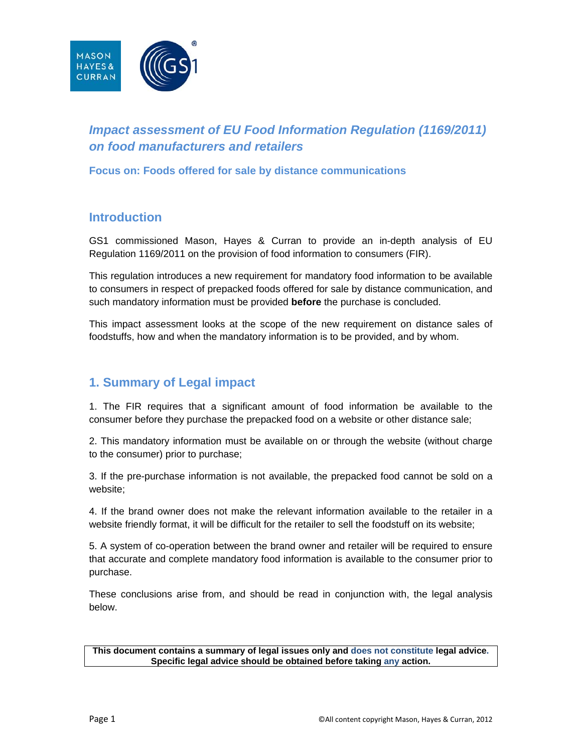

# *Impact assessment of EU Food Information Regulation (1169/2011) on food manufacturers and retailers*

**Focus on: Foods offered for sale by distance communications** 

### **Introduction**

GS1 commissioned Mason, Hayes & Curran to provide an in-depth analysis of EU Regulation 1169/2011 on the provision of food information to consumers (FIR).

This regulation introduces a new requirement for mandatory food information to be available to consumers in respect of prepacked foods offered for sale by distance communication, and such mandatory information must be provided **before** the purchase is concluded.

This impact assessment looks at the scope of the new requirement on distance sales of foodstuffs, how and when the mandatory information is to be provided, and by whom.

#### **1. Summary of Legal impact**

1. The FIR requires that a significant amount of food information be available to the consumer before they purchase the prepacked food on a website or other distance sale;

2. This mandatory information must be available on or through the website (without charge to the consumer) prior to purchase;

3. If the pre-purchase information is not available, the prepacked food cannot be sold on a website;

4. If the brand owner does not make the relevant information available to the retailer in a website friendly format, it will be difficult for the retailer to sell the foodstuff on its website;

5. A system of co-operation between the brand owner and retailer will be required to ensure that accurate and complete mandatory food information is available to the consumer prior to purchase.

These conclusions arise from, and should be read in conjunction with, the legal analysis below.

**This document contains a summary of legal issues only and does not constitute legal advice. Specific legal advice should be obtained before taking any action.**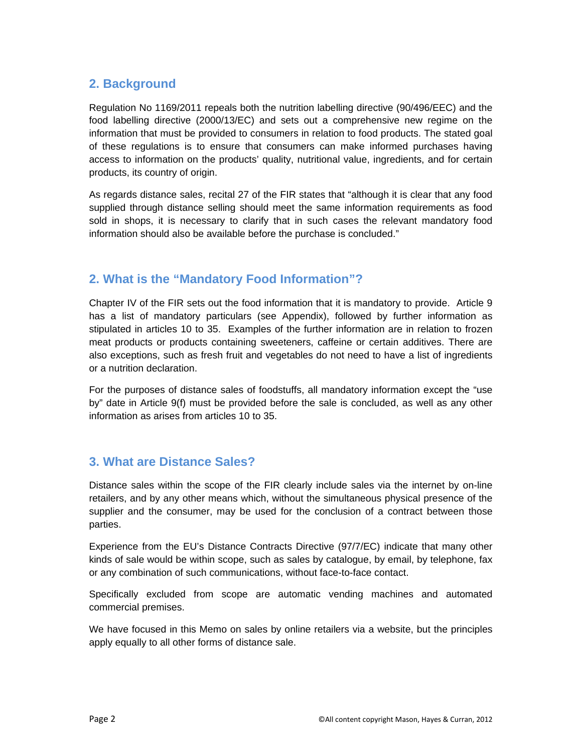#### **2. Background**

Regulation No 1169/2011 repeals both the nutrition labelling directive (90/496/EEC) and the food labelling directive (2000/13/EC) and sets out a comprehensive new regime on the information that must be provided to consumers in relation to food products. The stated goal of these regulations is to ensure that consumers can make informed purchases having access to information on the products' quality, nutritional value, ingredients, and for certain products, its country of origin.

As regards distance sales, recital 27 of the FIR states that "although it is clear that any food supplied through distance selling should meet the same information requirements as food sold in shops, it is necessary to clarify that in such cases the relevant mandatory food information should also be available before the purchase is concluded."

# **2. What is the "Mandatory Food Information"?**

Chapter IV of the FIR sets out the food information that it is mandatory to provide. Article 9 has a list of mandatory particulars (see Appendix), followed by further information as stipulated in articles 10 to 35. Examples of the further information are in relation to frozen meat products or products containing sweeteners, caffeine or certain additives. There are also exceptions, such as fresh fruit and vegetables do not need to have a list of ingredients or a nutrition declaration.

For the purposes of distance sales of foodstuffs, all mandatory information except the "use by" date in Article 9(f) must be provided before the sale is concluded, as well as any other information as arises from articles 10 to 35.

# **3. What are Distance Sales?**

Distance sales within the scope of the FIR clearly include sales via the internet by on-line retailers, and by any other means which, without the simultaneous physical presence of the supplier and the consumer, may be used for the conclusion of a contract between those parties.

Experience from the EU's Distance Contracts Directive (97/7/EC) indicate that many other kinds of sale would be within scope, such as sales by catalogue, by email, by telephone, fax or any combination of such communications, without face-to-face contact.

Specifically excluded from scope are automatic vending machines and automated commercial premises.

We have focused in this Memo on sales by online retailers via a website, but the principles apply equally to all other forms of distance sale.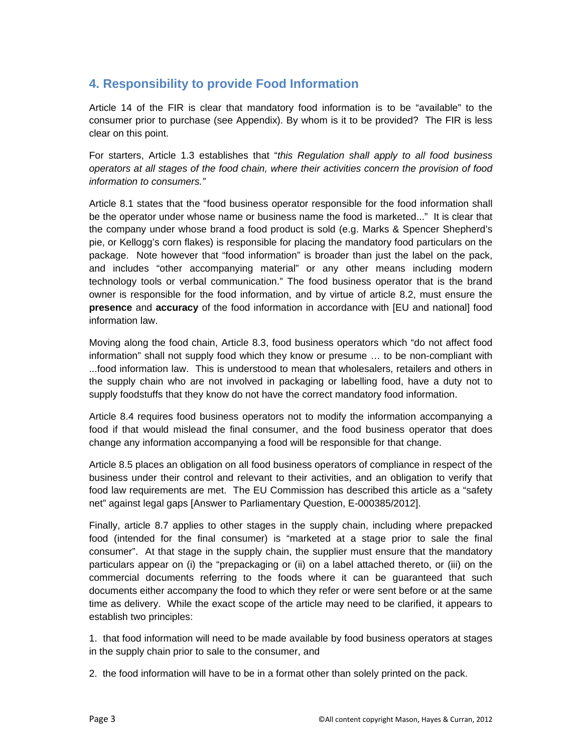## **4. Responsibility to provide Food Information**

Article 14 of the FIR is clear that mandatory food information is to be "available" to the consumer prior to purchase (see Appendix). By whom is it to be provided? The FIR is less clear on this point.

For starters, Article 1.3 establishes that "*this Regulation shall apply to all food business operators at all stages of the food chain, where their activities concern the provision of food information to consumers."*

Article 8.1 states that the "food business operator responsible for the food information shall be the operator under whose name or business name the food is marketed..." It is clear that the company under whose brand a food product is sold (e.g. Marks & Spencer Shepherd's pie, or Kellogg's corn flakes) is responsible for placing the mandatory food particulars on the package. Note however that "food information" is broader than just the label on the pack, and includes "other accompanying material" or any other means including modern technology tools or verbal communication." The food business operator that is the brand owner is responsible for the food information, and by virtue of article 8.2, must ensure the **presence** and **accuracy** of the food information in accordance with [EU and national] food information law.

Moving along the food chain, Article 8.3, food business operators which "do not affect food information" shall not supply food which they know or presume … to be non-compliant with ...food information law. This is understood to mean that wholesalers, retailers and others in the supply chain who are not involved in packaging or labelling food, have a duty not to supply foodstuffs that they know do not have the correct mandatory food information.

Article 8.4 requires food business operators not to modify the information accompanying a food if that would mislead the final consumer, and the food business operator that does change any information accompanying a food will be responsible for that change.

Article 8.5 places an obligation on all food business operators of compliance in respect of the business under their control and relevant to their activities, and an obligation to verify that food law requirements are met. The EU Commission has described this article as a "safety net" against legal gaps [Answer to Parliamentary Question, E-000385/2012].

Finally, article 8.7 applies to other stages in the supply chain, including where prepacked food (intended for the final consumer) is "marketed at a stage prior to sale the final consumer". At that stage in the supply chain, the supplier must ensure that the mandatory particulars appear on (i) the "prepackaging or (ii) on a label attached thereto, or (iii) on the commercial documents referring to the foods where it can be guaranteed that such documents either accompany the food to which they refer or were sent before or at the same time as delivery. While the exact scope of the article may need to be clarified, it appears to establish two principles:

1. that food information will need to be made available by food business operators at stages in the supply chain prior to sale to the consumer, and

2. the food information will have to be in a format other than solely printed on the pack.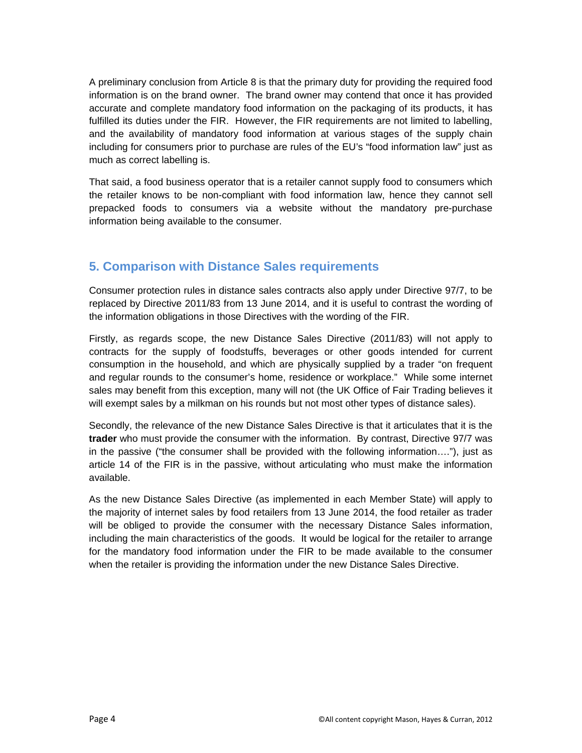A preliminary conclusion from Article 8 is that the primary duty for providing the required food information is on the brand owner. The brand owner may contend that once it has provided accurate and complete mandatory food information on the packaging of its products, it has fulfilled its duties under the FIR. However, the FIR requirements are not limited to labelling, and the availability of mandatory food information at various stages of the supply chain including for consumers prior to purchase are rules of the EU's "food information law" just as much as correct labelling is.

That said, a food business operator that is a retailer cannot supply food to consumers which the retailer knows to be non-compliant with food information law, hence they cannot sell prepacked foods to consumers via a website without the mandatory pre-purchase information being available to the consumer.

### **5. Comparison with Distance Sales requirements**

Consumer protection rules in distance sales contracts also apply under Directive 97/7, to be replaced by Directive 2011/83 from 13 June 2014, and it is useful to contrast the wording of the information obligations in those Directives with the wording of the FIR.

Firstly, as regards scope, the new Distance Sales Directive (2011/83) will not apply to contracts for the supply of foodstuffs, beverages or other goods intended for current consumption in the household, and which are physically supplied by a trader "on frequent and regular rounds to the consumer's home, residence or workplace." While some internet sales may benefit from this exception, many will not (the UK Office of Fair Trading believes it will exempt sales by a milkman on his rounds but not most other types of distance sales).

Secondly, the relevance of the new Distance Sales Directive is that it articulates that it is the **trader** who must provide the consumer with the information. By contrast, Directive 97/7 was in the passive ("the consumer shall be provided with the following information…."), just as article 14 of the FIR is in the passive, without articulating who must make the information available.

As the new Distance Sales Directive (as implemented in each Member State) will apply to the majority of internet sales by food retailers from 13 June 2014, the food retailer as trader will be obliged to provide the consumer with the necessary Distance Sales information, including the main characteristics of the goods. It would be logical for the retailer to arrange for the mandatory food information under the FIR to be made available to the consumer when the retailer is providing the information under the new Distance Sales Directive.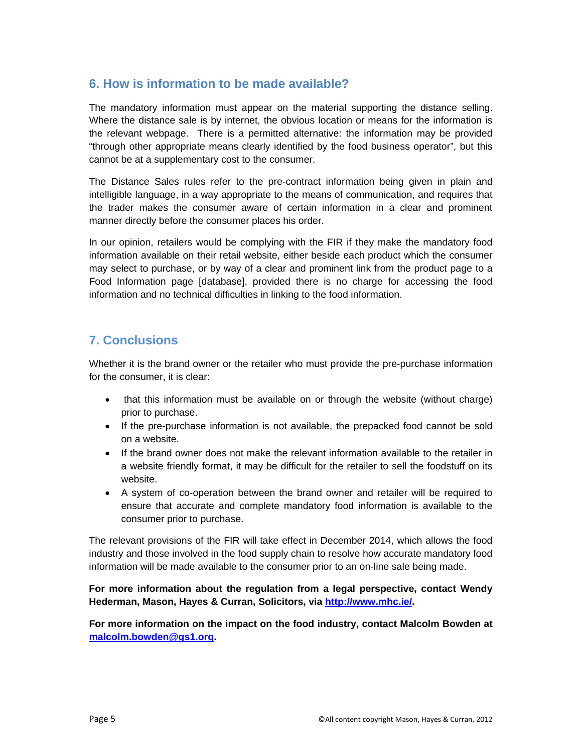#### **6. How is information to be made available?**

The mandatory information must appear on the material supporting the distance selling. Where the distance sale is by internet, the obvious location or means for the information is the relevant webpage. There is a permitted alternative: the information may be provided "through other appropriate means clearly identified by the food business operator", but this cannot be at a supplementary cost to the consumer.

The Distance Sales rules refer to the pre-contract information being given in plain and intelligible language, in a way appropriate to the means of communication, and requires that the trader makes the consumer aware of certain information in a clear and prominent manner directly before the consumer places his order.

In our opinion, retailers would be complying with the FIR if they make the mandatory food information available on their retail website, either beside each product which the consumer may select to purchase, or by way of a clear and prominent link from the product page to a Food Information page [database], provided there is no charge for accessing the food information and no technical difficulties in linking to the food information.

# **7. Conclusions**

Whether it is the brand owner or the retailer who must provide the pre-purchase information for the consumer, it is clear:

- that this information must be available on or through the website (without charge) prior to purchase.
- If the pre-purchase information is not available, the prepacked food cannot be sold on a website.
- If the brand owner does not make the relevant information available to the retailer in a website friendly format, it may be difficult for the retailer to sell the foodstuff on its website.
- A system of co-operation between the brand owner and retailer will be required to ensure that accurate and complete mandatory food information is available to the consumer prior to purchase.

The relevant provisions of the FIR will take effect in December 2014, which allows the food industry and those involved in the food supply chain to resolve how accurate mandatory food information will be made available to the consumer prior to an on-line sale being made.

#### **For more information about the regulation from a legal perspective, contact Wendy Hederman, Mason, Hayes & Curran, Solicitors, via http://www.mhc.ie/.**

**For more information on the impact on the food industry, contact Malcolm Bowden at malcolm.bowden@gs1.org.**